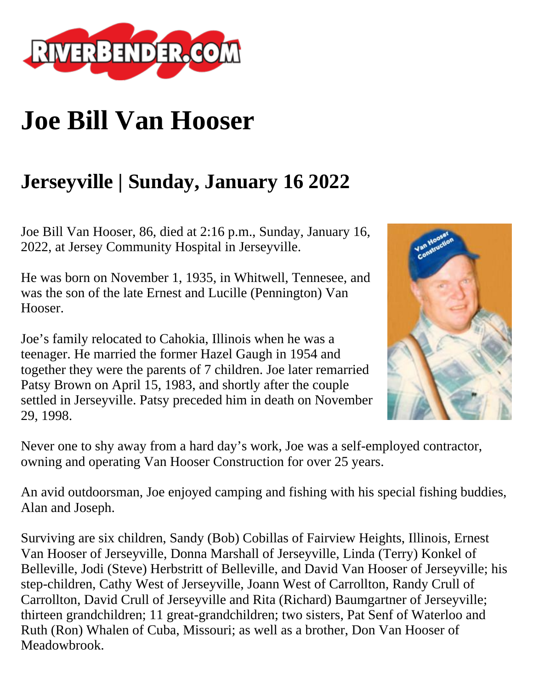

## **Joe Bill Van Hooser**

## **Jerseyville | Sunday, January 16 2022**

Joe Bill Van Hooser, 86, died at 2:16 p.m., Sunday, January 16, 2022, at Jersey Community Hospital in Jerseyville.

He was born on November 1, 1935, in Whitwell, Tennesee, and was the son of the late Ernest and Lucille (Pennington) Van Hooser.

Joe's family relocated to Cahokia, Illinois when he was a teenager. He married the former Hazel Gaugh in 1954 and together they were the parents of 7 children. Joe later remarried Patsy Brown on April 15, 1983, and shortly after the couple settled in Jerseyville. Patsy preceded him in death on November 29, 1998.



Never one to shy away from a hard day's work, Joe was a self-employed contractor, owning and operating Van Hooser Construction for over 25 years.

An avid outdoorsman, Joe enjoyed camping and fishing with his special fishing buddies, Alan and Joseph.

Surviving are six children, Sandy (Bob) Cobillas of Fairview Heights, Illinois, Ernest Van Hooser of Jerseyville, Donna Marshall of Jerseyville, Linda (Terry) Konkel of Belleville, Jodi (Steve) Herbstritt of Belleville, and David Van Hooser of Jerseyville; his step-children, Cathy West of Jerseyville, Joann West of Carrollton, Randy Crull of Carrollton, David Crull of Jerseyville and Rita (Richard) Baumgartner of Jerseyville; thirteen grandchildren; 11 great-grandchildren; two sisters, Pat Senf of Waterloo and Ruth (Ron) Whalen of Cuba, Missouri; as well as a brother, Don Van Hooser of Meadowbrook.